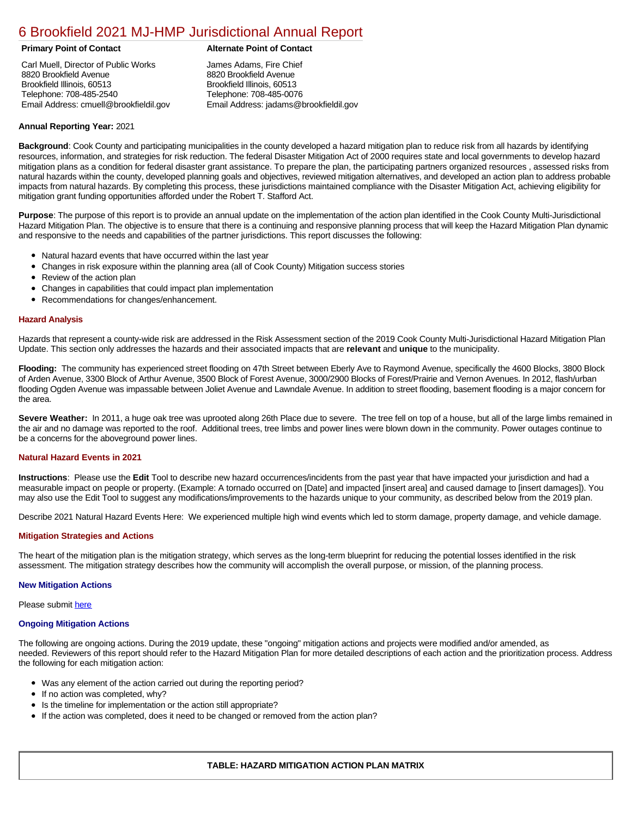# [6 Brookfield 2021 MJ-HMP Jurisdictional Annual Report](https://brookfield.isc-cemp.com/Cemp/Details?id=8322722)

Carl Muell, Director of Public Works 8820 Brookfield Avenue Brookfield Illinois, 60513 Telephone: 708-485-2540 Email Address: cmuell@brookfieldil.gov

# **Primary Point of Contact Alternate Point of Contact**

James Adams, Fire Chief 8820 Brookfield Avenue Brookfield Illinois, 60513 Telephone: 708-485-0076 Email Address: jadams@brookfieldil.gov

# **Annual Reporting Year:** 2021

**Background**: Cook County and participating municipalities in the county developed a hazard mitigation plan to reduce risk from all hazards by identifying resources, information, and strategies for risk reduction. The federal Disaster Mitigation Act of 2000 requires state and local governments to develop hazard mitigation plans as a condition for federal disaster grant assistance. To prepare the plan, the participating partners organized resources , assessed risks from natural hazards within the county, developed planning goals and objectives, reviewed mitigation alternatives, and developed an action plan to address probable impacts from natural hazards. By completing this process, these jurisdictions maintained compliance with the Disaster Mitigation Act, achieving eligibility for mitigation grant funding opportunities afforded under the Robert T. Stafford Act.

**Purpose**: The purpose of this report is to provide an annual update on the implementation of the action plan identified in the Cook County Multi-Jurisdictional Hazard Mitigation Plan. The objective is to ensure that there is a continuing and responsive planning process that will keep the Hazard Mitigation Plan dynamic and responsive to the needs and capabilities of the partner jurisdictions. This report discusses the following:

- Natural hazard events that have occurred within the last year
- $\bullet$ Changes in risk exposure within the planning area (all of Cook County) Mitigation success stories
- Review of the action plan  $\bullet$
- $\bullet$ Changes in capabilities that could impact plan implementation
- Recommendations for changes/enhancement.  $\bullet$

### **Hazard Analysis**

Hazards that represent a county-wide risk are addressed in the Risk Assessment section of the 2019 Cook County Multi-Jurisdictional Hazard Mitigation Plan Update. This section only addresses the hazards and their associated impacts that are **relevant** and **unique** to the municipality.

**Flooding:** The community has experienced street flooding on 47th Street between Eberly Ave to Raymond Avenue, specifically the 4600 Blocks, 3800 Block of Arden Avenue, 3300 Block of Arthur Avenue, 3500 Block of Forest Avenue, 3000/2900 Blocks of Forest/Prairie and Vernon Avenues. In 2012, flash/urban flooding Ogden Avenue was impassable between Joliet Avenue and Lawndale Avenue. In addition to street flooding, basement flooding is a major concern for the area.

Severe Weather: In 2011, a huge oak tree was uprooted along 26th Place due to severe. The tree fell on top of a house, but all of the large limbs remained in the air and no damage was reported to the roof. Additional trees, tree limbs and power lines were blown down in the community. Power outages continue to be a concerns for the aboveground power lines.

#### **Natural Hazard Events in 2021**

**Instructions**: Please use the **Edit** Tool to describe new hazard occurrences/incidents from the past year that have impacted your jurisdiction and had a measurable impact on people or property. (Example: A tornado occurred on [Date] and impacted [insert area] and caused damage to [insert damages]). You may also use the Edit Tool to suggest any modifications/improvements to the hazards unique to your community, as described below from the 2019 plan.

Describe 2021 Natural Hazard Events Here: We experienced multiple high wind events which led to storm damage, property damage, and vehicle damage.

# **Mitigation Strategies and Actions**

The heart of the mitigation plan is the mitigation strategy, which serves as the long-term blueprint for reducing the potential losses identified in the risk assessment. The mitigation strategy describes how the community will accomplish the overall purpose, or mission, of the planning process.

#### **New Mitigation Actions**

Please submit [here](https://integratedsolutions.wufoo.com/forms/mg21jvf0jn639o/)

#### **Ongoing Mitigation Actions**

The following are ongoing actions. During the 2019 update, these "ongoing" mitigation actions and projects were modified and/or amended, as needed. Reviewers of this report should refer to the Hazard Mitigation Plan for more detailed descriptions of each action and the prioritization process. Address the following for each mitigation action:

- Was any element of the action carried out during the reporting period?
- If no action was completed, why?
- Is the timeline for implementation or the action still appropriate?
- If the action was completed, does it need to be changed or removed from the action plan?

# **TABLE: HAZARD MITIGATION ACTION PLAN MATRIX**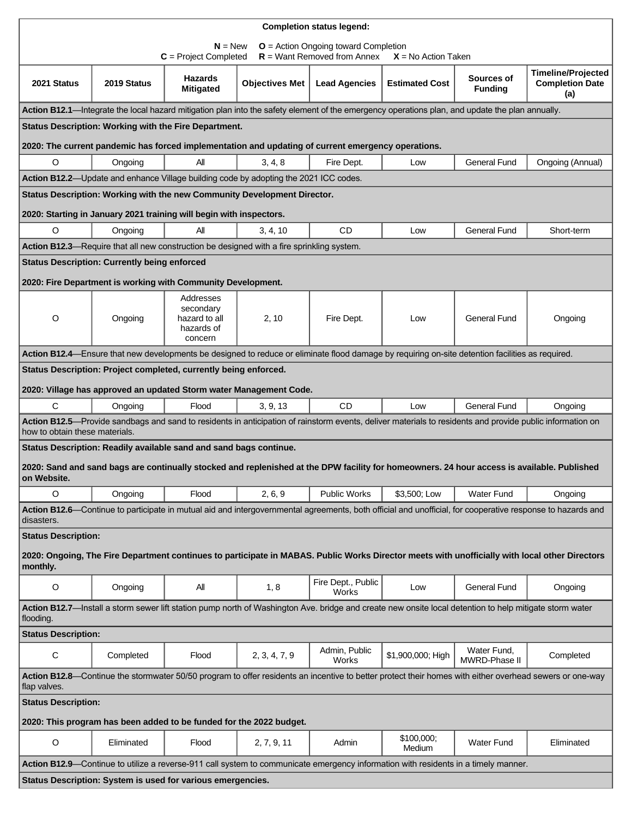| <b>Completion status legend:</b>                                                                                                                                         |                                                     |                                                                                                                                                           |                       |                             |                       |                                     |                               |  |  |  |  |
|--------------------------------------------------------------------------------------------------------------------------------------------------------------------------|-----------------------------------------------------|-----------------------------------------------------------------------------------------------------------------------------------------------------------|-----------------------|-----------------------------|-----------------------|-------------------------------------|-------------------------------|--|--|--|--|
| $N = New$<br>$O =$ Action Ongoing toward Completion<br>$R =$ Want Removed from Annex                                                                                     |                                                     |                                                                                                                                                           |                       |                             |                       |                                     |                               |  |  |  |  |
|                                                                                                                                                                          |                                                     | $C = Project Completed$                                                                                                                                   |                       |                             | $X = No$ Action Taken |                                     | <b>Timeline/Projected</b>     |  |  |  |  |
| 2021 Status                                                                                                                                                              | 2019 Status                                         | Hazards<br><b>Mitigated</b>                                                                                                                               | <b>Objectives Met</b> | <b>Lead Agencies</b>        | <b>Estimated Cost</b> | Sources of<br><b>Funding</b>        | <b>Completion Date</b><br>(a) |  |  |  |  |
| Action B12.1-Integrate the local hazard mitigation plan into the safety element of the emergency operations plan, and update the plan annually.                          |                                                     |                                                                                                                                                           |                       |                             |                       |                                     |                               |  |  |  |  |
| Status Description: Working with the Fire Department.                                                                                                                    |                                                     |                                                                                                                                                           |                       |                             |                       |                                     |                               |  |  |  |  |
|                                                                                                                                                                          |                                                     | 2020: The current pandemic has forced implementation and updating of current emergency operations.                                                        |                       |                             |                       |                                     |                               |  |  |  |  |
| $\circ$                                                                                                                                                                  | Ongoing                                             | All                                                                                                                                                       | 3, 4, 8               | Fire Dept.                  | Low                   | <b>General Fund</b>                 | Ongoing (Annual)              |  |  |  |  |
| Action B12.2-Update and enhance Village building code by adopting the 2021 ICC codes.                                                                                    |                                                     |                                                                                                                                                           |                       |                             |                       |                                     |                               |  |  |  |  |
| Status Description: Working with the new Community Development Director.                                                                                                 |                                                     |                                                                                                                                                           |                       |                             |                       |                                     |                               |  |  |  |  |
|                                                                                                                                                                          |                                                     | 2020: Starting in January 2021 training will begin with inspectors.                                                                                       |                       |                             |                       |                                     |                               |  |  |  |  |
| O                                                                                                                                                                        | Ongoing                                             | Αll                                                                                                                                                       | 3, 4, 10              | <b>CD</b>                   | Low                   | <b>General Fund</b>                 | Short-term                    |  |  |  |  |
|                                                                                                                                                                          |                                                     | Action B12.3—Require that all new construction be designed with a fire sprinkling system.                                                                 |                       |                             |                       |                                     |                               |  |  |  |  |
|                                                                                                                                                                          | <b>Status Description: Currently being enforced</b> |                                                                                                                                                           |                       |                             |                       |                                     |                               |  |  |  |  |
|                                                                                                                                                                          |                                                     | 2020: Fire Department is working with Community Development.                                                                                              |                       |                             |                       |                                     |                               |  |  |  |  |
|                                                                                                                                                                          |                                                     | Addresses<br>secondary                                                                                                                                    |                       |                             |                       |                                     |                               |  |  |  |  |
| O                                                                                                                                                                        | Ongoing                                             | hazard to all<br>hazards of                                                                                                                               | 2, 10                 | Fire Dept.                  | Low                   | <b>General Fund</b>                 | Ongoing                       |  |  |  |  |
|                                                                                                                                                                          |                                                     | concern                                                                                                                                                   |                       |                             |                       |                                     |                               |  |  |  |  |
| Action B12.4—Ensure that new developments be designed to reduce or eliminate flood damage by requiring on-site detention facilities as required.                         |                                                     |                                                                                                                                                           |                       |                             |                       |                                     |                               |  |  |  |  |
| Status Description: Project completed, currently being enforced.                                                                                                         |                                                     |                                                                                                                                                           |                       |                             |                       |                                     |                               |  |  |  |  |
|                                                                                                                                                                          |                                                     | 2020: Village has approved an updated Storm water Management Code.                                                                                        |                       |                             |                       |                                     |                               |  |  |  |  |
| C                                                                                                                                                                        | Ongoing                                             | Flood                                                                                                                                                     | 3, 9, 13              | <b>CD</b>                   | Low                   | <b>General Fund</b>                 | Ongoing                       |  |  |  |  |
| how to obtain these materials.                                                                                                                                           |                                                     | Action B12.5-Provide sandbags and sand to residents in anticipation of rainstorm events, deliver materials to residents and provide public information on |                       |                             |                       |                                     |                               |  |  |  |  |
| Status Description: Readily available sand and sand bags continue.                                                                                                       |                                                     |                                                                                                                                                           |                       |                             |                       |                                     |                               |  |  |  |  |
| 2020: Sand and sand bags are continually stocked and replenished at the DPW facility for homeowners. 24 hour access is available. Published<br>on Website.               |                                                     |                                                                                                                                                           |                       |                             |                       |                                     |                               |  |  |  |  |
| O                                                                                                                                                                        | Ongoing                                             | Flood                                                                                                                                                     | 2, 6, 9               | <b>Public Works</b>         | \$3,500; Low          | <b>Water Fund</b>                   | Ongoing                       |  |  |  |  |
| Action B12.6—Continue to participate in mutual aid and intergovernmental agreements, both official and unofficial, for cooperative response to hazards and<br>disasters. |                                                     |                                                                                                                                                           |                       |                             |                       |                                     |                               |  |  |  |  |
| <b>Status Description:</b>                                                                                                                                               |                                                     |                                                                                                                                                           |                       |                             |                       |                                     |                               |  |  |  |  |
| 2020: Ongoing, The Fire Department continues to participate in MABAS. Public Works Director meets with unofficially with local other Directors                           |                                                     |                                                                                                                                                           |                       |                             |                       |                                     |                               |  |  |  |  |
| monthly.                                                                                                                                                                 |                                                     |                                                                                                                                                           |                       |                             |                       |                                     |                               |  |  |  |  |
| O                                                                                                                                                                        | Ongoing                                             | All                                                                                                                                                       | 1, 8                  | Fire Dept., Public<br>Works | Low                   | <b>General Fund</b>                 | Ongoing                       |  |  |  |  |
| Action B12.7-Install a storm sewer lift station pump north of Washington Ave. bridge and create new onsite local detention to help mitigate storm water<br>flooding.     |                                                     |                                                                                                                                                           |                       |                             |                       |                                     |                               |  |  |  |  |
| <b>Status Description:</b>                                                                                                                                               |                                                     |                                                                                                                                                           |                       |                             |                       |                                     |                               |  |  |  |  |
| C                                                                                                                                                                        | Completed                                           | Flood                                                                                                                                                     | 2, 3, 4, 7, 9         | Admin, Public<br>Works      | \$1,900,000; High     | Water Fund,<br><b>MWRD-Phase II</b> | Completed                     |  |  |  |  |
| Action B12.8—Continue the stormwater 50/50 program to offer residents an incentive to better protect their homes with either overhead sewers or one-way<br>flap valves.  |                                                     |                                                                                                                                                           |                       |                             |                       |                                     |                               |  |  |  |  |
| <b>Status Description:</b>                                                                                                                                               |                                                     |                                                                                                                                                           |                       |                             |                       |                                     |                               |  |  |  |  |
| 2020: This program has been added to be funded for the 2022 budget.                                                                                                      |                                                     |                                                                                                                                                           |                       |                             |                       |                                     |                               |  |  |  |  |
| $\mathsf O$                                                                                                                                                              | Eliminated                                          | Flood                                                                                                                                                     | 2, 7, 9, 11           | Admin                       | \$100,000;<br>Medium  | <b>Water Fund</b>                   | Eliminated                    |  |  |  |  |
|                                                                                                                                                                          |                                                     | Action B12.9—Continue to utilize a reverse-911 call system to communicate emergency information with residents in a timely manner.                        |                       |                             |                       |                                     |                               |  |  |  |  |
| Status Description: System is used for various emergencies.                                                                                                              |                                                     |                                                                                                                                                           |                       |                             |                       |                                     |                               |  |  |  |  |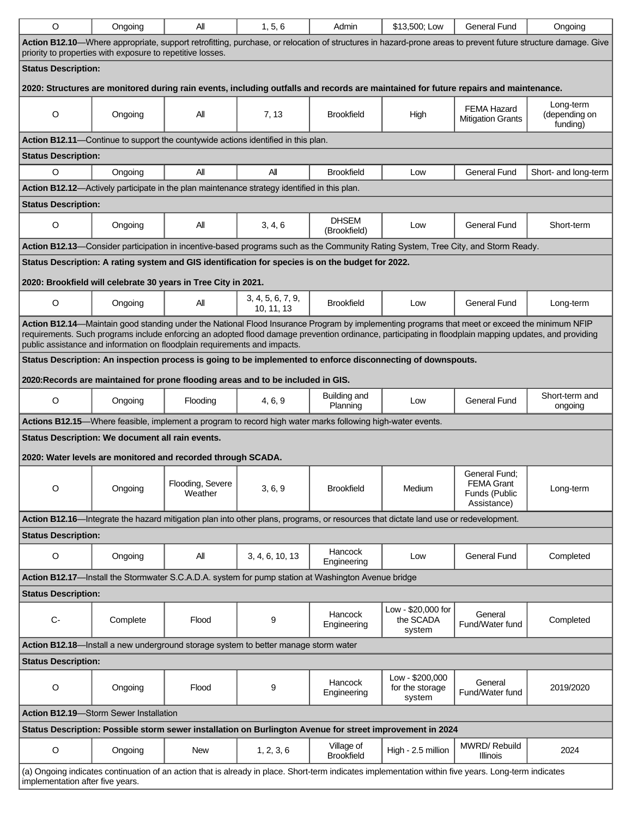| O                                                                                                                                                                                                                                                                                                                                                                                    | Ongoing                                          | Αll                                                                                                                                 | 1, 5, 6                         | Admin                           | \$13,500; Low                                | <b>General Fund</b>                                                | Ongoing                                |  |  |  |  |
|--------------------------------------------------------------------------------------------------------------------------------------------------------------------------------------------------------------------------------------------------------------------------------------------------------------------------------------------------------------------------------------|--------------------------------------------------|-------------------------------------------------------------------------------------------------------------------------------------|---------------------------------|---------------------------------|----------------------------------------------|--------------------------------------------------------------------|----------------------------------------|--|--|--|--|
| Action B12.10—Where appropriate, support retrofitting, purchase, or relocation of structures in hazard-prone areas to prevent future structure damage. Give<br>priority to properties with exposure to repetitive losses.                                                                                                                                                            |                                                  |                                                                                                                                     |                                 |                                 |                                              |                                                                    |                                        |  |  |  |  |
| <b>Status Description:</b>                                                                                                                                                                                                                                                                                                                                                           |                                                  |                                                                                                                                     |                                 |                                 |                                              |                                                                    |                                        |  |  |  |  |
| 2020: Structures are monitored during rain events, including outfalls and records are maintained for future repairs and maintenance.                                                                                                                                                                                                                                                 |                                                  |                                                                                                                                     |                                 |                                 |                                              |                                                                    |                                        |  |  |  |  |
| O                                                                                                                                                                                                                                                                                                                                                                                    | Ongoing                                          | ΑIΙ                                                                                                                                 | 7, 13                           | <b>Brookfield</b>               | High                                         | <b>FEMA Hazard</b><br><b>Mitigation Grants</b>                     | Long-term<br>(depending on<br>funding) |  |  |  |  |
| Action B12.11-Continue to support the countywide actions identified in this plan.                                                                                                                                                                                                                                                                                                    |                                                  |                                                                                                                                     |                                 |                                 |                                              |                                                                    |                                        |  |  |  |  |
| <b>Status Description:</b>                                                                                                                                                                                                                                                                                                                                                           |                                                  |                                                                                                                                     |                                 |                                 |                                              |                                                                    |                                        |  |  |  |  |
| $\circ$                                                                                                                                                                                                                                                                                                                                                                              | Ongoing                                          | Αll                                                                                                                                 | All                             | <b>Brookfield</b>               | Low                                          | <b>General Fund</b>                                                | Short- and long-term                   |  |  |  |  |
|                                                                                                                                                                                                                                                                                                                                                                                      |                                                  | Action B12.12—Actively participate in the plan maintenance strategy identified in this plan.                                        |                                 |                                 |                                              |                                                                    |                                        |  |  |  |  |
| <b>Status Description:</b>                                                                                                                                                                                                                                                                                                                                                           |                                                  |                                                                                                                                     |                                 |                                 |                                              |                                                                    |                                        |  |  |  |  |
| O                                                                                                                                                                                                                                                                                                                                                                                    | Ongoing                                          | ΑIΙ                                                                                                                                 | 3, 4, 6                         | <b>DHSEM</b><br>(Brookfield)    | Low                                          | <b>General Fund</b>                                                | Short-term                             |  |  |  |  |
|                                                                                                                                                                                                                                                                                                                                                                                      |                                                  | Action B12.13-Consider participation in incentive-based programs such as the Community Rating System, Tree City, and Storm Ready.   |                                 |                                 |                                              |                                                                    |                                        |  |  |  |  |
|                                                                                                                                                                                                                                                                                                                                                                                      |                                                  | Status Description: A rating system and GIS identification for species is on the budget for 2022.                                   |                                 |                                 |                                              |                                                                    |                                        |  |  |  |  |
|                                                                                                                                                                                                                                                                                                                                                                                      |                                                  | 2020: Brookfield will celebrate 30 years in Tree City in 2021.                                                                      |                                 |                                 |                                              |                                                                    |                                        |  |  |  |  |
| $\mathsf O$                                                                                                                                                                                                                                                                                                                                                                          | Ongoing                                          | All                                                                                                                                 | 3, 4, 5, 6, 7, 9,<br>10, 11, 13 | <b>Brookfield</b>               | Low                                          | <b>General Fund</b>                                                | Long-term                              |  |  |  |  |
| Action B12.14-Maintain good standing under the National Flood Insurance Program by implementing programs that meet or exceed the minimum NFIP<br>requirements. Such programs include enforcing an adopted flood damage prevention ordinance, participating in floodplain mapping updates, and providing<br>public assistance and information on floodplain requirements and impacts. |                                                  |                                                                                                                                     |                                 |                                 |                                              |                                                                    |                                        |  |  |  |  |
|                                                                                                                                                                                                                                                                                                                                                                                      |                                                  |                                                                                                                                     |                                 |                                 |                                              |                                                                    |                                        |  |  |  |  |
|                                                                                                                                                                                                                                                                                                                                                                                      |                                                  | Status Description: An inspection process is going to be implemented to enforce disconnecting of downspouts.                        |                                 |                                 |                                              |                                                                    |                                        |  |  |  |  |
|                                                                                                                                                                                                                                                                                                                                                                                      |                                                  | 2020: Records are maintained for prone flooding areas and to be included in GIS.                                                    |                                 |                                 |                                              |                                                                    |                                        |  |  |  |  |
| O                                                                                                                                                                                                                                                                                                                                                                                    | Ongoing                                          | Flooding                                                                                                                            | 4, 6, 9                         | Building and<br>Planning        | Low                                          | <b>General Fund</b>                                                | Short-term and<br>ongoing              |  |  |  |  |
|                                                                                                                                                                                                                                                                                                                                                                                      |                                                  | Actions B12.15—Where feasible, implement a program to record high water marks following high-water events.                          |                                 |                                 |                                              |                                                                    |                                        |  |  |  |  |
|                                                                                                                                                                                                                                                                                                                                                                                      | Status Description: We document all rain events. |                                                                                                                                     |                                 |                                 |                                              |                                                                    |                                        |  |  |  |  |
|                                                                                                                                                                                                                                                                                                                                                                                      |                                                  | 2020: Water levels are monitored and recorded through SCADA.                                                                        |                                 |                                 |                                              |                                                                    |                                        |  |  |  |  |
| O                                                                                                                                                                                                                                                                                                                                                                                    | Ongoing                                          | Flooding, Severe<br>Weather                                                                                                         | 3, 6, 9                         | <b>Brookfield</b>               | Medium                                       | General Fund:<br><b>FEMA Grant</b><br>Funds (Public<br>Assistance) | Long-term                              |  |  |  |  |
|                                                                                                                                                                                                                                                                                                                                                                                      |                                                  | Action B12.16—Integrate the hazard mitigation plan into other plans, programs, or resources that dictate land use or redevelopment. |                                 |                                 |                                              |                                                                    |                                        |  |  |  |  |
| <b>Status Description:</b>                                                                                                                                                                                                                                                                                                                                                           |                                                  |                                                                                                                                     |                                 |                                 |                                              |                                                                    |                                        |  |  |  |  |
| O                                                                                                                                                                                                                                                                                                                                                                                    | Ongoing                                          | All                                                                                                                                 | 3, 4, 6, 10, 13                 | Hancock<br>Engineering          | Low                                          | <b>General Fund</b>                                                | Completed                              |  |  |  |  |
|                                                                                                                                                                                                                                                                                                                                                                                      |                                                  | Action B12.17-Install the Stormwater S.C.A.D.A. system for pump station at Washington Avenue bridge                                 |                                 |                                 |                                              |                                                                    |                                        |  |  |  |  |
| <b>Status Description:</b>                                                                                                                                                                                                                                                                                                                                                           |                                                  |                                                                                                                                     |                                 |                                 |                                              |                                                                    |                                        |  |  |  |  |
| $C -$                                                                                                                                                                                                                                                                                                                                                                                | Complete                                         | Flood                                                                                                                               | 9                               | Hancock<br>Engineering          | Low - \$20,000 for<br>the SCADA<br>system    | General<br>Fund/Water fund                                         | Completed                              |  |  |  |  |
|                                                                                                                                                                                                                                                                                                                                                                                      |                                                  | Action B12.18-Install a new underground storage system to better manage storm water                                                 |                                 |                                 |                                              |                                                                    |                                        |  |  |  |  |
| <b>Status Description:</b>                                                                                                                                                                                                                                                                                                                                                           |                                                  |                                                                                                                                     |                                 |                                 |                                              |                                                                    |                                        |  |  |  |  |
| $\mathsf O$                                                                                                                                                                                                                                                                                                                                                                          | Ongoing                                          | Flood                                                                                                                               | 9                               | Hancock<br>Engineering          | Low - \$200,000<br>for the storage<br>system | General<br>Fund/Water fund                                         | 2019/2020                              |  |  |  |  |
| <b>Action B12.19-Storm Sewer Installation</b>                                                                                                                                                                                                                                                                                                                                        |                                                  |                                                                                                                                     |                                 |                                 |                                              |                                                                    |                                        |  |  |  |  |
| Status Description: Possible storm sewer installation on Burlington Avenue for street improvement in 2024                                                                                                                                                                                                                                                                            |                                                  |                                                                                                                                     |                                 |                                 |                                              |                                                                    |                                        |  |  |  |  |
| $\mathsf O$                                                                                                                                                                                                                                                                                                                                                                          | Ongoing                                          | <b>New</b>                                                                                                                          | 1, 2, 3, 6                      | Village of<br><b>Brookfield</b> | High - 2.5 million                           | MWRD/Rebuild<br>Illinois                                           | 2024                                   |  |  |  |  |
| (a) Ongoing indicates continuation of an action that is already in place. Short-term indicates implementation within five years. Long-term indicates<br>implementation after five years.                                                                                                                                                                                             |                                                  |                                                                                                                                     |                                 |                                 |                                              |                                                                    |                                        |  |  |  |  |